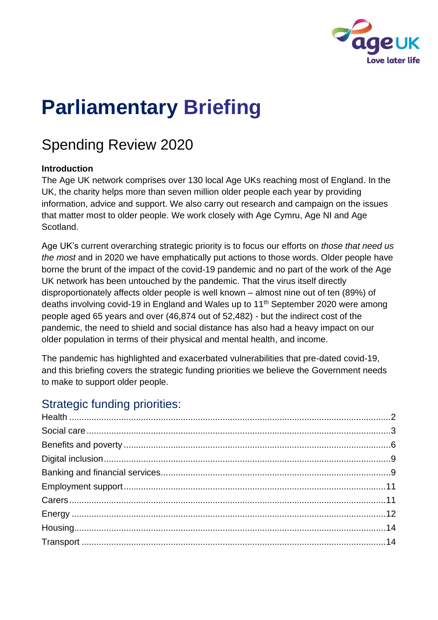

# **Parliamentary Briefing**

## Spending Review 2020

#### **Introduction**

The Age UK network comprises over 130 local Age UKs reaching most of England. In the UK, the charity helps more than seven million older people each year by providing information, advice and support. We also carry out research and campaign on the issues that matter most to older people. We work closely with Age Cymru, Age NI and Age Scotland.

Age UK's current overarching strategic priority is to focus our efforts on *those that need us the most* and in 2020 we have emphatically put actions to those words. Older people have borne the brunt of the impact of the covid-19 pandemic and no part of the work of the Age UK network has been untouched by the pandemic. That the virus itself directly disproportionately affects older people is well known – almost nine out of ten (89%) of deaths involving covid-19 in England and Wales up to 11<sup>th</sup> September 2020 were among people aged 65 years and over (46,874 out of 52,482) - but the indirect cost of the pandemic, the need to shield and social distance has also had a heavy impact on our older population in terms of their physical and mental health, and income.

The pandemic has highlighted and exacerbated vulnerabilities that pre-dated covid-19, and this briefing covers the strategic funding priorities we believe the Government needs to make to support older people.

### Strategic funding priorities: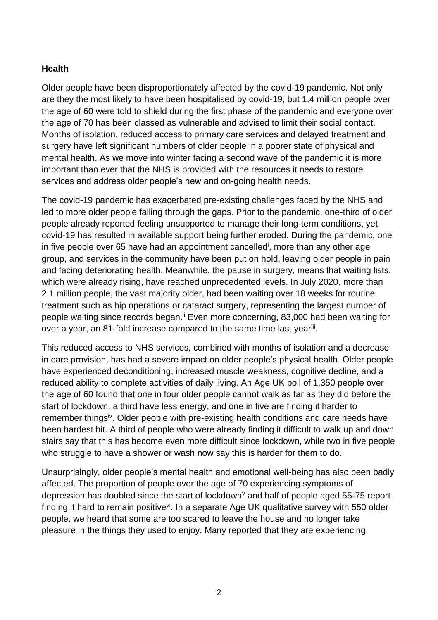#### <span id="page-1-0"></span>**Health**

Older people have been disproportionately affected by the covid-19 pandemic. Not only are they the most likely to have been hospitalised by covid-19, but 1.4 million people over the age of 60 were told to shield during the first phase of the pandemic and everyone over the age of 70 has been classed as vulnerable and advised to limit their social contact. Months of isolation, reduced access to primary care services and delayed treatment and surgery have left significant numbers of older people in a poorer state of physical and mental health. As we move into winter facing a second wave of the pandemic it is more important than ever that the NHS is provided with the resources it needs to restore services and address older people's new and on-going health needs.

The covid-19 pandemic has exacerbated pre-existing challenges faced by the NHS and led to more older people falling through the gaps. Prior to the pandemic, one-third of older people already reported feeling unsupported to manage their long-term conditions, yet covid-19 has resulted in available support being further eroded. During the pandemic, one in five people over 65 have had an appointment cancelled<sup>i</sup>, more than any other age group, and services in the community have been put on hold, leaving older people in pain and facing deteriorating health. Meanwhile, the pause in surgery, means that waiting lists, which were already rising, have reached unprecedented levels. In July 2020, more than 2.1 million people, the vast majority older, had been waiting over 18 weeks for routine treatment such as hip operations or cataract surgery, representing the largest number of people waiting since records began.<sup>ii</sup> Even more concerning, 83,000 had been waiting for over a year, an 81-fold increase compared to the same time last year<sup>iii</sup>.

This reduced access to NHS services, combined with months of isolation and a decrease in care provision, has had a severe impact on older people's physical health. Older people have experienced deconditioning, increased muscle weakness, cognitive decline, and a reduced ability to complete activities of daily living. An Age UK poll of 1,350 people over the age of 60 found that one in four older people cannot walk as far as they did before the start of lockdown, a third have less energy, and one in five are finding it harder to remember thingsiv. Older people with pre-existing health conditions and care needs have been hardest hit. A third of people who were already finding it difficult to walk up and down stairs say that this has become even more difficult since lockdown, while two in five people who struggle to have a shower or wash now say this is harder for them to do.

Unsurprisingly, older people's mental health and emotional well-being has also been badly affected. The proportion of people over the age of 70 experiencing symptoms of depression has doubled since the start of lockdown<sup> $\vee$ </sup> and half of people aged 55-75 report finding it hard to remain positive<sup>vi</sup>. In a separate Age UK qualitative survey with 550 older people, we heard that some are too scared to leave the house and no longer take pleasure in the things they used to enjoy. Many reported that they are experiencing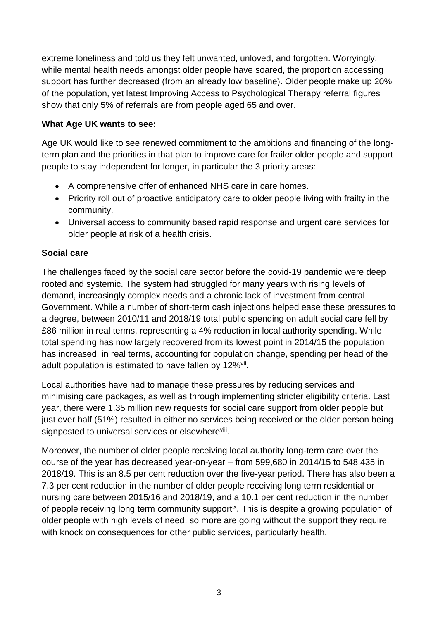extreme loneliness and told us they felt unwanted, unloved, and forgotten. Worryingly, while mental health needs amongst older people have soared, the proportion accessing support has further decreased (from an already low baseline). Older people make up 20% of the population, yet latest Improving Access to Psychological Therapy referral figures show that only 5% of referrals are from people aged 65 and over.

#### **What Age UK wants to see:**

Age UK would like to see renewed commitment to the ambitions and financing of the longterm plan and the priorities in that plan to improve care for frailer older people and support people to stay independent for longer, in particular the 3 priority areas:

- A comprehensive offer of enhanced NHS care in care homes.
- Priority roll out of proactive anticipatory care to older people living with frailty in the community.
- Universal access to community based rapid response and urgent care services for older people at risk of a health crisis.

#### <span id="page-2-0"></span>**Social care**

The challenges faced by the social care sector before the covid-19 pandemic were deep rooted and systemic. The system had struggled for many years with rising levels of demand, increasingly complex needs and a chronic lack of investment from central Government. While a number of short-term cash injections helped ease these pressures to a degree, between 2010/11 and 2018/19 total public spending on adult social care fell by £86 million in real terms, representing a 4% reduction in local authority spending. While total spending has now largely recovered from its lowest point in 2014/15 the population has increased, in real terms, accounting for population change, spending per head of the adult population is estimated to have fallen by 12%<sup>vii</sup>.

Local authorities have had to manage these pressures by reducing services and minimising care packages, as well as through implementing stricter eligibility criteria. Last year, there were 1.35 million new requests for social care support from older people but just over half (51%) resulted in either no services being received or the older person being signposted to universal services or elsewhere<sup>viii</sup>.

Moreover, the number of older people receiving local authority long-term care over the course of the year has decreased year-on-year – from 599,680 in 2014/15 to 548,435 in 2018/19. This is an 8.5 per cent reduction over the five-year period. There has also been a 7.3 per cent reduction in the number of older people receiving long term residential or nursing care between 2015/16 and 2018/19, and a 10.1 per cent reduction in the number of people receiving long term community support<sup>ix</sup>. This is despite a growing population of older people with high levels of need, so more are going without the support they require, with knock on consequences for other public services, particularly health.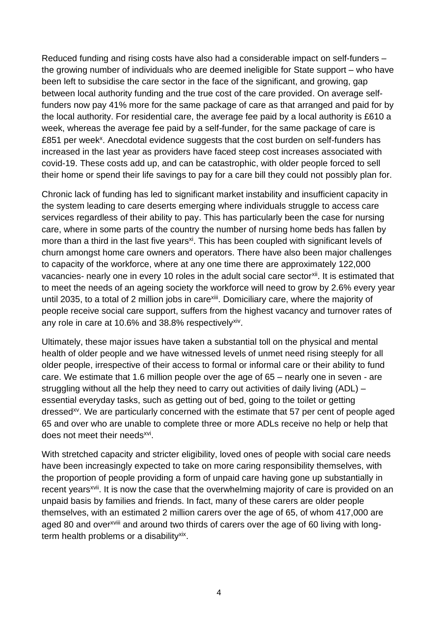Reduced funding and rising costs have also had a considerable impact on self-funders – the growing number of individuals who are deemed ineligible for State support – who have been left to subsidise the care sector in the face of the significant, and growing, gap between local authority funding and the true cost of the care provided. On average selffunders now pay 41% more for the same package of care as that arranged and paid for by the local authority. For residential care, the average fee paid by a local authority is £610 a week, whereas the average fee paid by a self-funder, for the same package of care is £851 per week<sup>x</sup>. Anecdotal evidence suggests that the cost burden on self-funders has increased in the last year as providers have faced steep cost increases associated with covid-19. These costs add up, and can be catastrophic, with older people forced to sell their home or spend their life savings to pay for a care bill they could not possibly plan for.

Chronic lack of funding has led to significant market instability and insufficient capacity in the system leading to care deserts emerging where individuals struggle to access care services regardless of their ability to pay. This has particularly been the case for nursing care, where in some parts of the country the number of nursing home beds has fallen by more than a third in the last five years<sup>xi</sup>. This has been coupled with significant levels of churn amongst home care owners and operators. There have also been major challenges to capacity of the workforce, where at any one time there are approximately 122,000 vacancies- nearly one in every 10 roles in the adult social care sector<sup>xii</sup>. It is estimated that to meet the needs of an ageing society the workforce will need to grow by 2.6% every year until 2035, to a total of 2 million jobs in care<sup>xiii</sup>. Domiciliary care, where the majority of people receive social care support, suffers from the highest vacancy and turnover rates of any role in care at 10.6% and 38.8% respectively<sup>xiv</sup>.

Ultimately, these major issues have taken a substantial toll on the physical and mental health of older people and we have witnessed levels of unmet need rising steeply for all older people, irrespective of their access to formal or informal care or their ability to fund care. We estimate that 1.6 million people over the age of 65 – nearly one in seven - are struggling without all the help they need to carry out activities of daily living (ADL) – essential everyday tasks, such as getting out of bed, going to the toilet or getting dressed<sup>xv</sup>. We are particularly concerned with the estimate that 57 per cent of people aged 65 and over who are unable to complete three or more ADLs receive no help or help that does not meet their needs<sup>xvi</sup>.

With stretched capacity and stricter eligibility, loved ones of people with social care needs have been increasingly expected to take on more caring responsibility themselves, with the proportion of people providing a form of unpaid care having gone up substantially in recent years<sup>xvii</sup>. It is now the case that the overwhelming majority of care is provided on an unpaid basis by families and friends. In fact, many of these carers are older people themselves, with an estimated 2 million carers over the age of 65, of whom 417,000 are aged 80 and over<sup>xviii</sup> and around two thirds of carers over the age of 60 living with longterm health problems or a disability<sup>xix</sup>.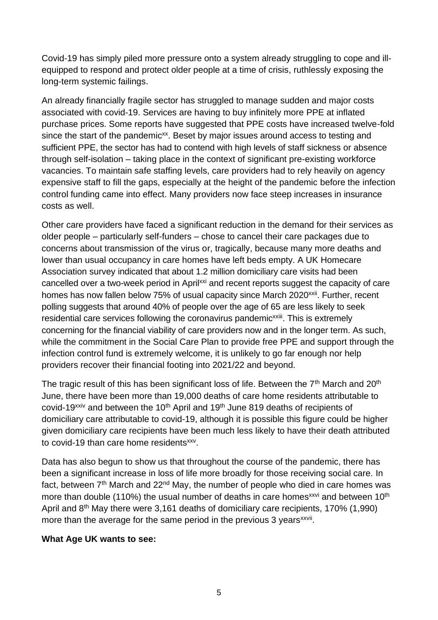Covid-19 has simply piled more pressure onto a system already struggling to cope and illequipped to respond and protect older people at a time of crisis, ruthlessly exposing the long-term systemic failings.

An already financially fragile sector has struggled to manage sudden and major costs associated with covid-19. Services are having to buy infinitely more PPE at inflated purchase prices. Some reports have suggested that PPE costs have increased twelve-fold since the start of the pandemic<sup>xx</sup>. Beset by major issues around access to testing and sufficient PPE, the sector has had to contend with high levels of staff sickness or absence through self-isolation – taking place in the context of significant pre-existing workforce vacancies. To maintain safe staffing levels, care providers had to rely heavily on agency expensive staff to fill the gaps, especially at the height of the pandemic before the infection control funding came into effect. Many providers now face steep increases in insurance costs as well.

Other care providers have faced a significant reduction in the demand for their services as older people – particularly self-funders – chose to cancel their care packages due to concerns about transmission of the virus or, tragically, because many more deaths and lower than usual occupancy in care homes have left beds empty. A UK Homecare Association survey indicated that about 1.2 million domiciliary care visits had been cancelled over a two-week period in April<sup>xxi</sup> and recent reports suggest the capacity of care homes has now fallen below 75% of usual capacity since March 2020<sup>xxii</sup>. Further, recent polling suggests that around 40% of people over the age of 65 are less likely to seek residential care services following the coronavirus pandemic<sup>xxiii</sup>. This is extremely concerning for the financial viability of care providers now and in the longer term. As such, while the commitment in the Social Care Plan to provide free PPE and support through the infection control fund is extremely welcome, it is unlikely to go far enough nor help providers recover their financial footing into 2021/22 and beyond.

The tragic result of this has been significant loss of life. Between the  $7<sup>th</sup>$  March and 20<sup>th</sup> June, there have been more than 19,000 deaths of care home residents attributable to covid-19<sup>xxiv</sup> and between the 10<sup>th</sup> April and 19<sup>th</sup> June 819 deaths of recipients of domiciliary care attributable to covid-19, although it is possible this figure could be higher given domiciliary care recipients have been much less likely to have their death attributed to covid-19 than care home residents<sup>xxv</sup>.

Data has also begun to show us that throughout the course of the pandemic, there has been a significant increase in loss of life more broadly for those receiving social care. In fact, between 7<sup>th</sup> March and 22<sup>nd</sup> May, the number of people who died in care homes was more than double (110%) the usual number of deaths in care homes<sup> $xxvi$ </sup> and between 10<sup>th</sup> April and  $8<sup>th</sup>$  May there were 3,161 deaths of domiciliary care recipients, 170% (1,990) more than the average for the same period in the previous 3 years<sup>xxvii</sup>.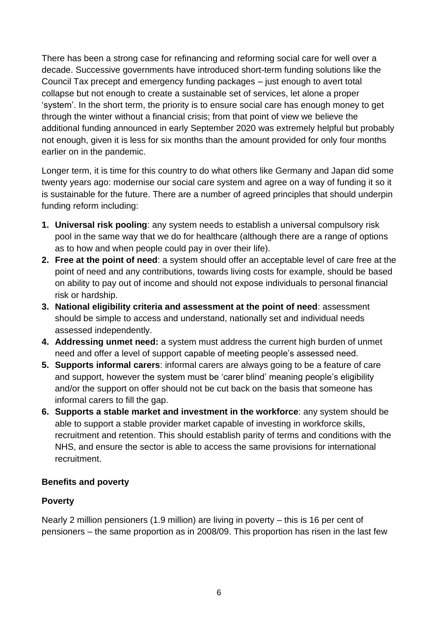There has been a strong case for refinancing and reforming social care for well over a decade. Successive governments have introduced short-term funding solutions like the Council Tax precept and emergency funding packages – just enough to avert total collapse but not enough to create a sustainable set of services, let alone a proper 'system'. In the short term, the priority is to ensure social care has enough money to get through the winter without a financial crisis; from that point of view we believe the additional funding announced in early September 2020 was extremely helpful but probably not enough, given it is less for six months than the amount provided for only four months earlier on in the pandemic.

Longer term, it is time for this country to do what others like Germany and Japan did some twenty years ago: modernise our social care system and agree on a way of funding it so it is sustainable for the future. There are a number of agreed principles that should underpin funding reform including:

- **1. Universal risk pooling**: any system needs to establish a universal compulsory risk pool in the same way that we do for healthcare (although there are a range of options as to how and when people could pay in over their life).
- **2. Free at the point of need**: a system should offer an acceptable level of care free at the point of need and any contributions, towards living costs for example, should be based on ability to pay out of income and should not expose individuals to personal financial risk or hardship.
- **3. National eligibility criteria and assessment at the point of need**: assessment should be simple to access and understand, nationally set and individual needs assessed independently.
- **4. Addressing unmet need:** a system must address the current high burden of unmet need and offer a level of support capable of meeting people's assessed need.
- **5. Supports informal carers**: informal carers are always going to be a feature of care and support, however the system must be 'carer blind' meaning people's eligibility and/or the support on offer should not be cut back on the basis that someone has informal carers to fill the gap.
- **6. Supports a stable market and investment in the workforce**: any system should be able to support a stable provider market capable of investing in workforce skills, recruitment and retention. This should establish parity of terms and conditions with the NHS, and ensure the sector is able to access the same provisions for international recruitment.

#### <span id="page-5-0"></span>**Benefits and poverty**

#### **Poverty**

Nearly 2 million pensioners (1.9 million) are living in poverty – this is 16 per cent of pensioners – the same proportion as in 2008/09. This proportion has risen in the last few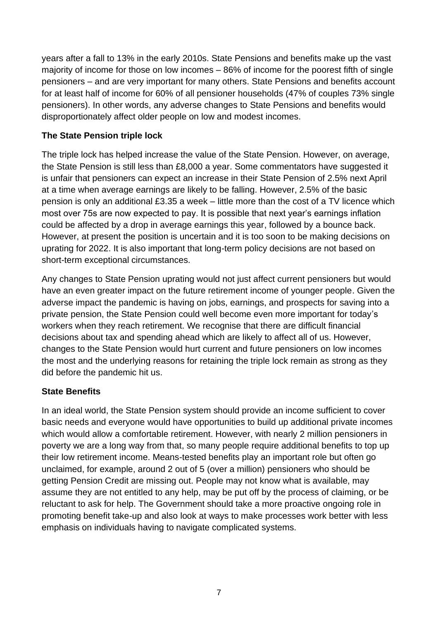years after a fall to 13% in the early 2010s. State Pensions and benefits make up the vast majority of income for those on low incomes – 86% of income for the poorest fifth of single pensioners – and are very important for many others. State Pensions and benefits account for at least half of income for 60% of all pensioner households (47% of couples 73% single pensioners). In other words, any adverse changes to State Pensions and benefits would disproportionately affect older people on low and modest incomes.

#### **The State Pension triple lock**

The triple lock has helped increase the value of the State Pension. However, on average, the State Pension is still less than £8,000 a year. Some commentators have suggested it is unfair that pensioners can expect an increase in their State Pension of 2.5% next April at a time when average earnings are likely to be falling. However, 2.5% of the basic pension is only an additional £3.35 a week – little more than the cost of a TV licence which most over 75s are now expected to pay. It is possible that next year's earnings inflation could be affected by a drop in average earnings this year, followed by a bounce back. However, at present the position is uncertain and it is too soon to be making decisions on uprating for 2022. It is also important that long-term policy decisions are not based on short-term exceptional circumstances.

Any changes to State Pension uprating would not just affect current pensioners but would have an even greater impact on the future retirement income of younger people. Given the adverse impact the pandemic is having on jobs, earnings, and prospects for saving into a private pension, the State Pension could well become even more important for today's workers when they reach retirement. We recognise that there are difficult financial decisions about tax and spending ahead which are likely to affect all of us. However, changes to the State Pension would hurt current and future pensioners on low incomes the most and the underlying reasons for retaining the triple lock remain as strong as they did before the pandemic hit us.

#### **State Benefits**

In an ideal world, the State Pension system should provide an income sufficient to cover basic needs and everyone would have opportunities to build up additional private incomes which would allow a comfortable retirement. However, with nearly 2 million pensioners in poverty we are a long way from that, so many people require additional benefits to top up their low retirement income. Means-tested benefits play an important role but often go unclaimed, for example, around 2 out of 5 (over a million) pensioners who should be getting Pension Credit are missing out. People may not know what is available, may assume they are not entitled to any help, may be put off by the process of claiming, or be reluctant to ask for help. The Government should take a more proactive ongoing role in promoting benefit take-up and also look at ways to make processes work better with less emphasis on individuals having to navigate complicated systems.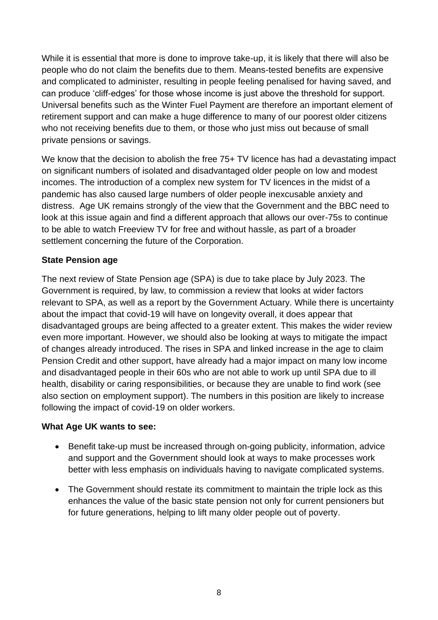While it is essential that more is done to improve take-up, it is likely that there will also be people who do not claim the benefits due to them. Means-tested benefits are expensive and complicated to administer, resulting in people feeling penalised for having saved, and can produce 'cliff-edges' for those whose income is just above the threshold for support. Universal benefits such as the Winter Fuel Payment are therefore an important element of retirement support and can make a huge difference to many of our poorest older citizens who not receiving benefits due to them, or those who just miss out because of small private pensions or savings.

We know that the decision to abolish the free 75+ TV licence has had a devastating impact on significant numbers of isolated and disadvantaged older people on low and modest incomes. The introduction of a complex new system for TV licences in the midst of a pandemic has also caused large numbers of older people inexcusable anxiety and distress. Age UK remains strongly of the view that the Government and the BBC need to look at this issue again and find a different approach that allows our over-75s to continue to be able to watch Freeview TV for free and without hassle, as part of a broader settlement concerning the future of the Corporation.

#### **State Pension age**

The next review of State Pension age (SPA) is due to take place by July 2023. The Government is required, by law, to commission a review that looks at wider factors relevant to SPA, as well as a report by the Government Actuary. While there is uncertainty about the impact that covid-19 will have on longevity overall, it does appear that disadvantaged groups are being affected to a greater extent. This makes the wider review even more important. However, we should also be looking at ways to mitigate the impact of changes already introduced. The rises in SPA and linked increase in the age to claim Pension Credit and other support, have already had a major impact on many low income and disadvantaged people in their 60s who are not able to work up until SPA due to ill health, disability or caring responsibilities, or because they are unable to find work (see also section on employment support). The numbers in this position are likely to increase following the impact of covid-19 on older workers.

- Benefit take-up must be increased through on-going publicity, information, advice and support and the Government should look at ways to make processes work better with less emphasis on individuals having to navigate complicated systems.
- The Government should restate its commitment to maintain the triple lock as this enhances the value of the basic state pension not only for current pensioners but for future generations, helping to lift many older people out of poverty.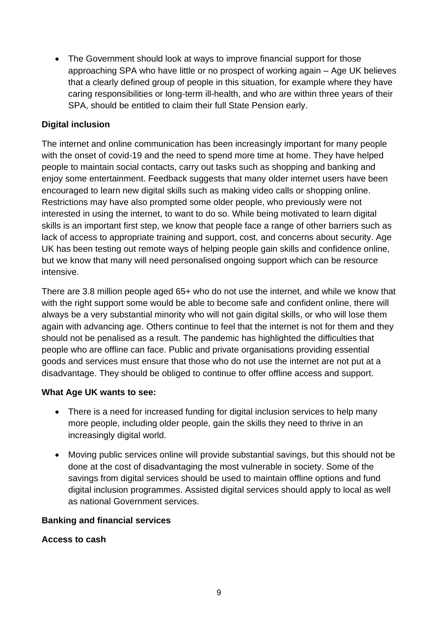• The Government should look at ways to improve financial support for those approaching SPA who have little or no prospect of working again – Age UK believes that a clearly defined group of people in this situation, for example where they have caring responsibilities or long-term ill-health, and who are within three years of their SPA, should be entitled to claim their full State Pension early.

#### <span id="page-8-0"></span>**Digital inclusion**

The internet and online communication has been increasingly important for many people with the onset of covid-19 and the need to spend more time at home. They have helped people to maintain social contacts, carry out tasks such as shopping and banking and enjoy some entertainment. Feedback suggests that many older internet users have been encouraged to learn new digital skills such as making video calls or shopping online. Restrictions may have also prompted some older people, who previously were not interested in using the internet, to want to do so. While being motivated to learn digital skills is an important first step, we know that people face a range of other barriers such as lack of access to appropriate training and support, cost, and concerns about security. Age UK has been testing out remote ways of helping people gain skills and confidence online, but we know that many will need personalised ongoing support which can be resource intensive.

There are 3.8 million people aged 65+ who do not use the internet, and while we know that with the right support some would be able to become safe and confident online, there will always be a very substantial minority who will not gain digital skills, or who will lose them again with advancing age. Others continue to feel that the internet is not for them and they should not be penalised as a result. The pandemic has highlighted the difficulties that people who are offline can face. Public and private organisations providing essential goods and services must ensure that those who do not use the internet are not put at a disadvantage. They should be obliged to continue to offer offline access and support.

#### **What Age UK wants to see:**

- There is a need for increased funding for digital inclusion services to help many more people, including older people, gain the skills they need to thrive in an increasingly digital world.
- Moving public services online will provide substantial savings, but this should not be done at the cost of disadvantaging the most vulnerable in society. Some of the savings from digital services should be used to maintain offline options and fund digital inclusion programmes. Assisted digital services should apply to local as well as national Government services.

#### <span id="page-8-1"></span>**Banking and financial services**

#### **Access to cash**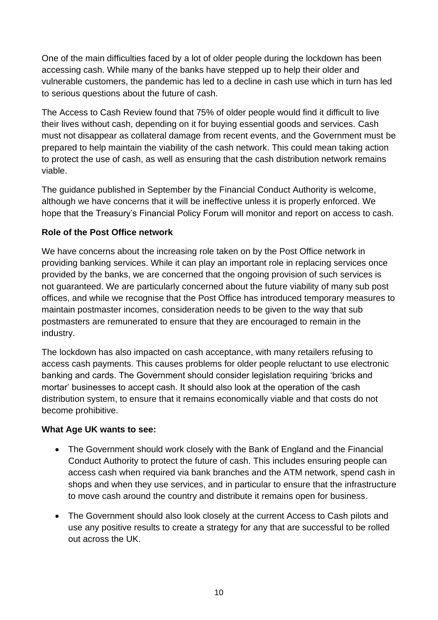One of the main difficulties faced by a lot of older people during the lockdown has been accessing cash. While many of the banks have stepped up to help their older and vulnerable customers, the pandemic has led to a decline in cash use which in turn has led to serious questions about the future of cash.

The Access to Cash Review found that 75% of older people would find it difficult to live their lives without cash, depending on it for buying essential goods and services. Cash must not disappear as collateral damage from recent events, and the Government must be prepared to help maintain the viability of the cash network. This could mean taking action to protect the use of cash, as well as ensuring that the cash distribution network remains viable.

The guidance published in September by the Financial Conduct Authority is welcome, although we have concerns that it will be ineffective unless it is properly enforced. We hope that the Treasury's Financial Policy Forum will monitor and report on access to cash.

#### **Role of the Post Office network**

We have concerns about the increasing role taken on by the Post Office network in providing banking services. While it can play an important role in replacing services once provided by the banks, we are concerned that the ongoing provision of such services is not guaranteed. We are particularly concerned about the future viability of many sub post offices, and while we recognise that the Post Office has introduced temporary measures to maintain postmaster incomes, consideration needs to be given to the way that sub postmasters are remunerated to ensure that they are encouraged to remain in the industry.

The lockdown has also impacted on cash acceptance, with many retailers refusing to access cash payments. This causes problems for older people reluctant to use electronic banking and cards. The Government should consider legislation requiring 'bricks and mortar' businesses to accept cash. It should also look at the operation of the cash distribution system, to ensure that it remains economically viable and that costs do not become prohibitive.

- The Government should work closely with the Bank of England and the Financial Conduct Authority to protect the future of cash. This includes ensuring people can access cash when required via bank branches and the ATM network, spend cash in shops and when they use services, and in particular to ensure that the infrastructure to move cash around the country and distribute it remains open for business.
- The Government should also look closely at the current Access to Cash pilots and use any positive results to create a strategy for any that are successful to be rolled out across the UK.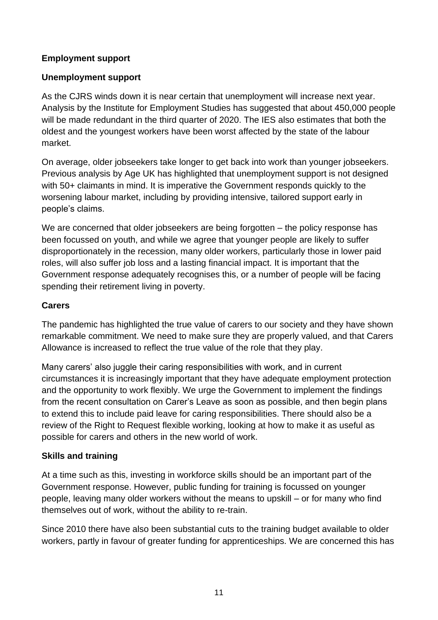#### <span id="page-10-0"></span>**Employment support**

#### **Unemployment support**

As the CJRS winds down it is near certain that unemployment will increase next year. Analysis by the Institute for Employment Studies has suggested that about 450,000 people will be made redundant in the third quarter of 2020. The IES also estimates that both the oldest and the youngest workers have been worst affected by the state of the labour market.

On average, older jobseekers take longer to get back into work than younger jobseekers. Previous analysis by Age UK has highlighted that unemployment support is not designed with 50+ claimants in mind. It is imperative the Government responds quickly to the worsening labour market, including by providing intensive, tailored support early in people's claims.

We are concerned that older jobseekers are being forgotten – the policy response has been focussed on youth, and while we agree that younger people are likely to suffer disproportionately in the recession, many older workers, particularly those in lower paid roles, will also suffer job loss and a lasting financial impact. It is important that the Government response adequately recognises this, or a number of people will be facing spending their retirement living in poverty.

#### <span id="page-10-1"></span>**Carers**

The pandemic has highlighted the true value of carers to our society and they have shown remarkable commitment. We need to make sure they are properly valued, and that Carers Allowance is increased to reflect the true value of the role that they play.

Many carers' also juggle their caring responsibilities with work, and in current circumstances it is increasingly important that they have adequate employment protection and the opportunity to work flexibly. We urge the Government to implement the findings from the recent consultation on Carer's Leave as soon as possible, and then begin plans to extend this to include paid leave for caring responsibilities. There should also be a review of the Right to Request flexible working, looking at how to make it as useful as possible for carers and others in the new world of work.

#### **Skills and training**

At a time such as this, investing in workforce skills should be an important part of the Government response. However, public funding for training is focussed on younger people, leaving many older workers without the means to upskill – or for many who find themselves out of work, without the ability to re-train.

Since 2010 there have also been substantial cuts to the training budget available to older workers, partly in favour of greater funding for apprenticeships. We are concerned this has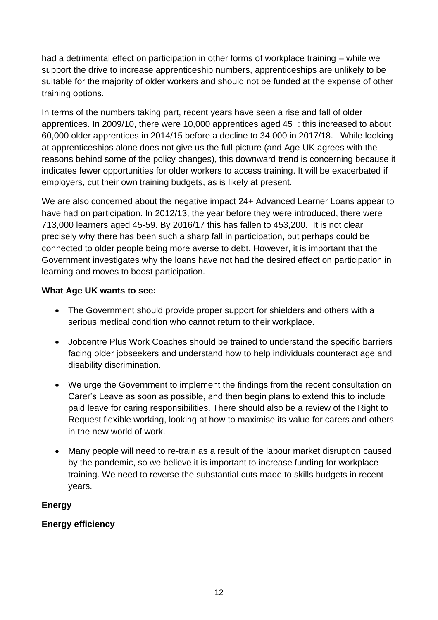had a detrimental effect on participation in other forms of workplace training – while we support the drive to increase apprenticeship numbers, apprenticeships are unlikely to be suitable for the majority of older workers and should not be funded at the expense of other training options.

In terms of the numbers taking part, recent years have seen a rise and fall of older apprentices. In 2009/10, there were 10,000 apprentices aged 45+: this increased to about 60,000 older apprentices in 2014/15 before a decline to 34,000 in 2017/18. While looking at apprenticeships alone does not give us the full picture (and Age UK agrees with the reasons behind some of the policy changes), this downward trend is concerning because it indicates fewer opportunities for older workers to access training. It will be exacerbated if employers, cut their own training budgets, as is likely at present.

We are also concerned about the negative impact 24+ Advanced Learner Loans appear to have had on participation. In 2012/13, the year before they were introduced, there were 713,000 learners aged 45-59. By 2016/17 this has fallen to 453,200. It is not clear precisely why there has been such a sharp fall in participation, but perhaps could be connected to older people being more averse to debt. However, it is important that the Government investigates why the loans have not had the desired effect on participation in learning and moves to boost participation.

#### **What Age UK wants to see:**

- The Government should provide proper support for shielders and others with a serious medical condition who cannot return to their workplace.
- Jobcentre Plus Work Coaches should be trained to understand the specific barriers facing older jobseekers and understand how to help individuals counteract age and disability discrimination.
- We urge the Government to implement the findings from the recent consultation on Carer's Leave as soon as possible, and then begin plans to extend this to include paid leave for caring responsibilities. There should also be a review of the Right to Request flexible working, looking at how to maximise its value for carers and others in the new world of work.
- Many people will need to re-train as a result of the labour market disruption caused by the pandemic, so we believe it is important to increase funding for workplace training. We need to reverse the substantial cuts made to skills budgets in recent years.

#### <span id="page-11-0"></span>**Energy**

#### **Energy efficiency**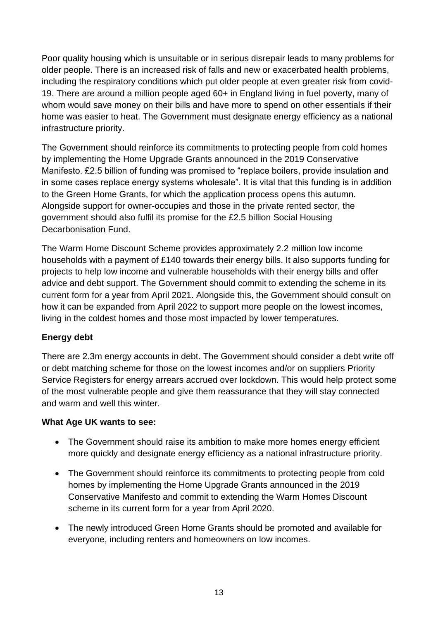Poor quality housing which is unsuitable or in serious disrepair leads to many problems for older people. There is an increased risk of falls and new or exacerbated health problems, including the respiratory conditions which put older people at even greater risk from covid-19. There are around a million people aged 60+ in England living in fuel poverty, many of whom would save money on their bills and have more to spend on other essentials if their home was easier to heat. The Government must designate energy efficiency as a national infrastructure priority.

The Government should reinforce its commitments to protecting people from cold homes by implementing the Home Upgrade Grants announced in the 2019 Conservative Manifesto. £2.5 billion of funding was promised to "replace boilers, provide insulation and in some cases replace energy systems wholesale". It is vital that this funding is in addition to the Green Home Grants, for which the application process opens this autumn. Alongside support for owner-occupies and those in the private rented sector, the government should also fulfil its promise for the £2.5 billion Social Housing Decarbonisation Fund.

The Warm Home Discount Scheme provides approximately 2.2 million low income households with a payment of £140 towards their energy bills. It also supports funding for projects to help low income and vulnerable households with their energy bills and offer advice and debt support. The Government should commit to extending the scheme in its current form for a year from April 2021. Alongside this, the Government should consult on how it can be expanded from April 2022 to support more people on the lowest incomes, living in the coldest homes and those most impacted by lower temperatures.

#### **Energy debt**

There are 2.3m energy accounts in debt. The Government should consider a debt write off or debt matching scheme for those on the lowest incomes and/or on suppliers Priority Service Registers for energy arrears accrued over lockdown. This would help protect some of the most vulnerable people and give them reassurance that they will stay connected and warm and well this winter.

- The Government should raise its ambition to make more homes energy efficient more quickly and designate energy efficiency as a national infrastructure priority.
- The Government should reinforce its commitments to protecting people from cold homes by implementing the Home Upgrade Grants announced in the 2019 Conservative Manifesto and commit to extending the Warm Homes Discount scheme in its current form for a year from April 2020.
- The newly introduced Green Home Grants should be promoted and available for everyone, including renters and homeowners on low incomes.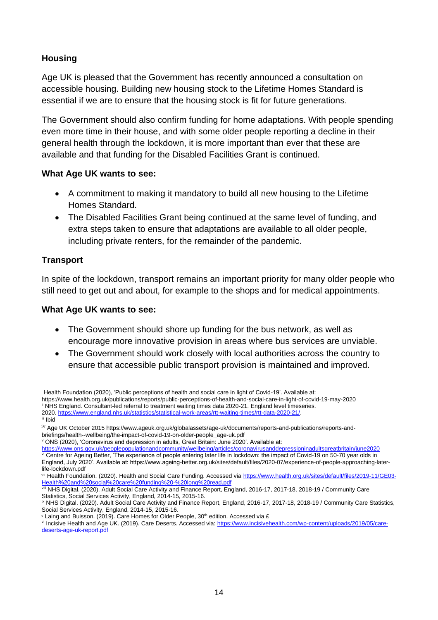#### <span id="page-13-0"></span>**Housing**

Age UK is pleased that the Government has recently announced a consultation on accessible housing. Building new housing stock to the Lifetime Homes Standard is essential if we are to ensure that the housing stock is fit for future generations.

The Government should also confirm funding for home adaptations. With people spending even more time in their house, and with some older people reporting a decline in their general health through the lockdown, it is more important than ever that these are available and that funding for the Disabled Facilities Grant is continued.

#### **What Age UK wants to see:**

- A commitment to making it mandatory to build all new housing to the Lifetime Homes Standard.
- The Disabled Facilities Grant being continued at the same level of funding, and extra steps taken to ensure that adaptations are available to all older people, including private renters, for the remainder of the pandemic.

#### <span id="page-13-1"></span>**Transport**

In spite of the lockdown, transport remains an important priority for many older people who still need to get out and about, for example to the shops and for medical appointments.

- The Government should shore up funding for the bus network, as well as encourage more innovative provision in areas where bus services are unviable.
- The Government should work closely with local authorities across the country to ensure that accessible public transport provision is maintained and improved.

<sup>i</sup> Health Foundation (2020), 'Public perceptions of health and social care in light of Covid-19'. Available at: https://www.health.org.uk/publications/reports/public-perceptions-of-health-and-social-care-in-light-of-covid-19-may-2020

ii NHS England. Consultant-led referral to treatment waiting times data 2020-21. England level timeseries.

<sup>2020.</sup> [https://www.england.nhs.uk/statistics/statistical-work-areas/rtt-waiting-times/rtt-data-2020-21/.](https://www.england.nhs.uk/statistics/statistical-work-areas/rtt-waiting-times/rtt-data-2020-21/)

iii Ibid

iv Age UK October 2015 https://www.ageuk.org.uk/globalassets/age-uk/documents/reports-and-publications/reports-andbriefings/health--wellbeing/the-impact-of-covid-19-on-older-people\_age-uk.pdf

<sup>v</sup> ONS (2020), 'Coronavirus and depression in adults, Great Britain: June 2020'. Available at:

<https://www.ons.gov.uk/peoplepopulationandcommunity/wellbeing/articles/coronavirusanddepressioninadultsgreatbritain/june2020>

vi Centre for Ageing Better, 'The experience of people entering later life in lockdown: the impact of Covid-19 on 50-70 year olds in England, July 2020'. Available at: https://www.ageing-better.org.uk/sites/default/files/2020-07/experience-of-people-approaching-laterlife-lockdown.pdf

vii Health Foundation. (2020). Health and Social Care Funding. Accessed via [https://www.health.org.uk/sites/default/files/2019-11/GE03-](https://www.health.org.uk/sites/default/files/2019-11/GE03-Health%20and%20social%20care%20funding%20-%20long%20read.pdf) [Health%20and%20social%20care%20funding%20-%20long%20read.pdf](https://www.health.org.uk/sites/default/files/2019-11/GE03-Health%20and%20social%20care%20funding%20-%20long%20read.pdf)

viii NHS Digital. (2020). Adult Social Care Activity and Finance Report, England, 2016-17, 2017-18, 2018-19 / Community Care Statistics, Social Services Activity, England, 2014-15, 2015-16.

<sup>&</sup>lt;sup>ix</sup> NHS Digital. (2020). Adult Social Care Activity and Finance Report, England, 2016-17, 2017-18, 2018-19 / Community Care Statistics, Social Services Activity, England, 2014-15, 2015-16.

<sup>&</sup>lt;sup>x</sup> Laing and Buisson. (2019). Care Homes for Older People, 30<sup>th</sup> edition. Accessed via £

xi Incisive Health and Age UK. (2019). Care Deserts. Accessed via: [https://www.incisivehealth.com/wp-content/uploads/2019/05/care](https://www.incisivehealth.com/wp-content/uploads/2019/05/care-deserts-age-uk-report.pdf)[deserts-age-uk-report.pdf](https://www.incisivehealth.com/wp-content/uploads/2019/05/care-deserts-age-uk-report.pdf)